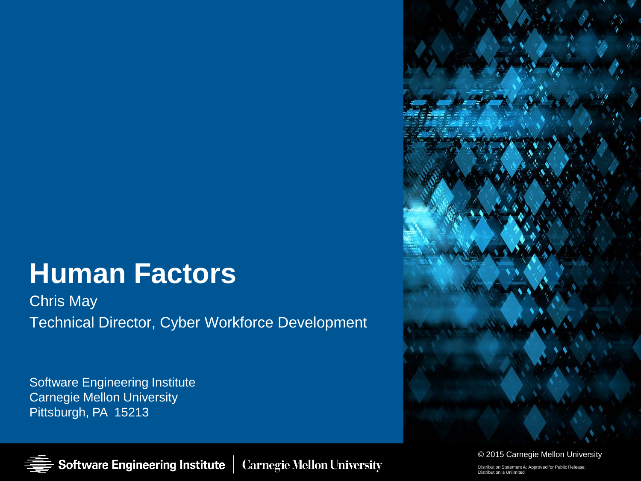# **Human Factors**

Chris May Technical Director, Cyber Workforce Development

Software Engineering Institute Carnegie Mellon University Pittsburgh, PA 15213



© 2015 Carnegie Mellon University

Distribution Statement A: Approved for Public Release; Distribution is Unlimited

**Software Engineering Institute Carnegie Mellon University**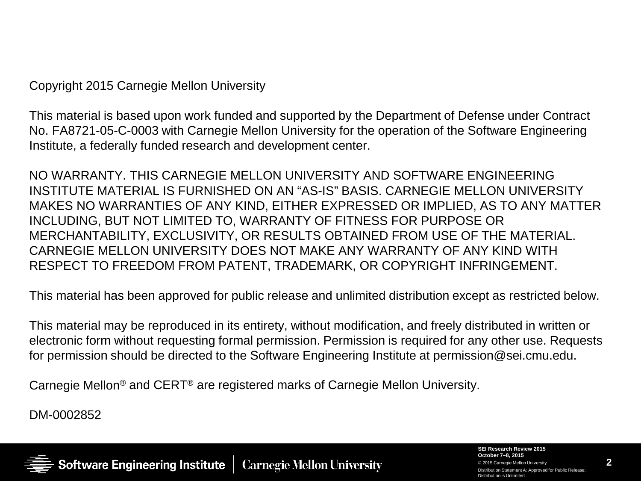Copyright 2015 Carnegie Mellon University

This material is based upon work funded and supported by the Department of Defense under Contract No. FA8721-05-C-0003 with Carnegie Mellon University for the operation of the Software Engineering Institute, a federally funded research and development center.

NO WARRANTY. THIS CARNEGIE MELLON UNIVERSITY AND SOFTWARE ENGINEERING INSTITUTE MATERIAL IS FURNISHED ON AN "AS-IS" BASIS. CARNEGIE MELLON UNIVERSITY MAKES NO WARRANTIES OF ANY KIND, EITHER EXPRESSED OR IMPLIED, AS TO ANY MATTER INCLUDING, BUT NOT LIMITED TO, WARRANTY OF FITNESS FOR PURPOSE OR MERCHANTABILITY, EXCLUSIVITY, OR RESULTS OBTAINED FROM USE OF THE MATERIAL. CARNEGIE MELLON UNIVERSITY DOES NOT MAKE ANY WARRANTY OF ANY KIND WITH RESPECT TO FREEDOM FROM PATENT, TRADEMARK, OR COPYRIGHT INFRINGEMENT.

This material has been approved for public release and unlimited distribution except as restricted below.

This material may be reproduced in its entirety, without modification, and freely distributed in written or electronic form without requesting formal permission. Permission is required for any other use. Requests for permission should be directed to the Software Engineering Institute at permission@sei.cmu.edu.

Carnegie Mellon® and CERT® are registered marks of Carnegie Mellon University.

DM-0002852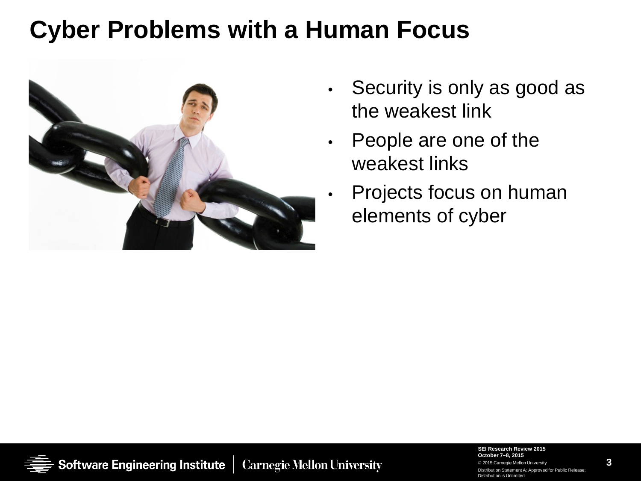## **Cyber Problems with a Human Focus**



- Security is only as good as the weakest link
- People are one of the weakest links
- Projects focus on human elements of cyber

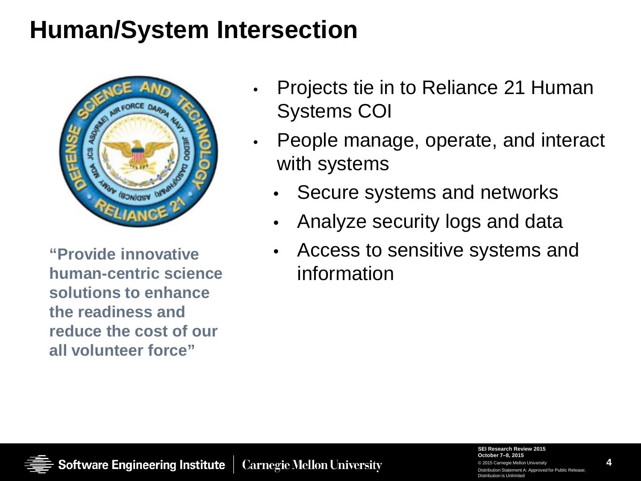## **Human/System Intersection**



**"Provide innovative human-centric science solutions to enhance the readiness and reduce the cost of our all volunteer force"**

- Projects tie in to Reliance 21 Human Systems COI
- People manage, operate, and interact with systems
	- Secure systems and networks
	- Analyze security logs and data
	- Access to sensitive systems and information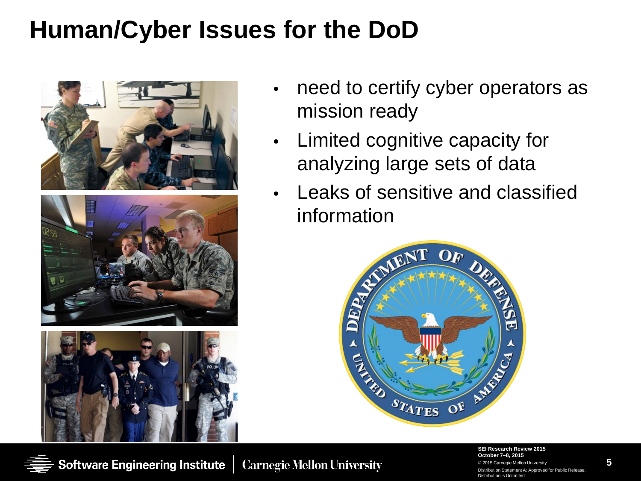## **Human/Cyber Issues for the DoD**



- need to certify cyber operators as mission ready
- Limited cognitive capacity for analyzing large sets of data
- Leaks of sensitive and classified information



**SEI Research Review 2015 October 7–8, 2015** © 2015 Carnegie Mellon University Distribution Statement A: Approved for Public Release; Distribution is Unlimited

**5**

**Carnegie Mellon University**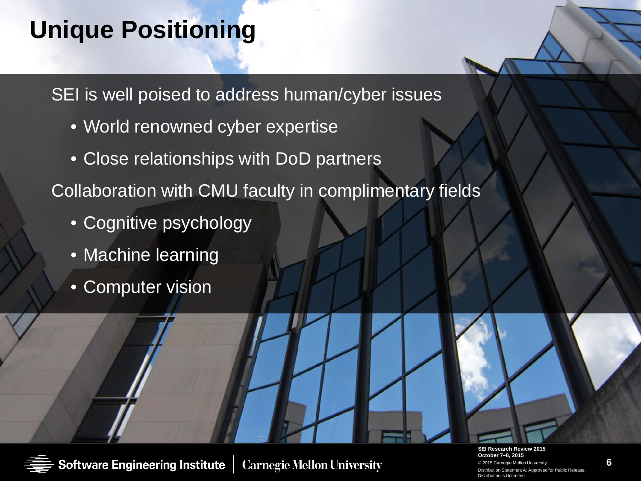## **Unique Positioning**

SEI is well poised to address human/cyber issues

- World renowned cyber expertise
- Close relationships with DoD partners

Collaboration with CMU faculty in complimentary fields

- Cognitive psychology
- Machine learning
- Computer vision



**Carnegie Mellon University** 

**SEI Research Review 2015 October 7–8, 2015** © 2015 Carnegie Mellon University Distribution Statement A: Approved for Public Relea Distribution is Unlimited